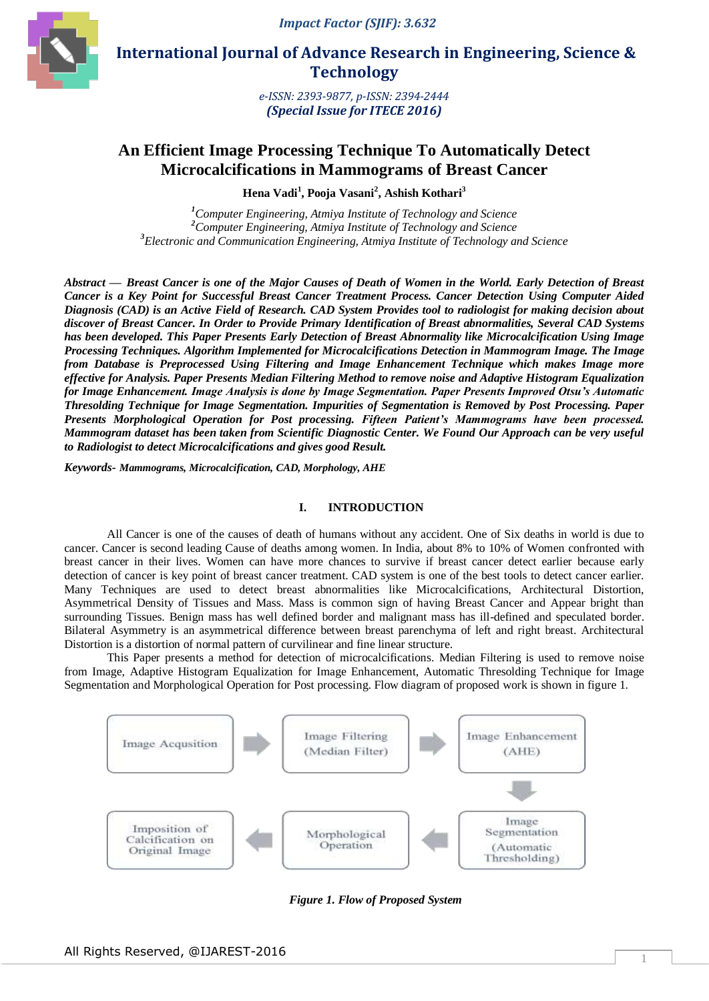

 **International Journal of Advance Research in Engineering, Science & Technology** 

> *e-ISSN: 2393-9877, p-ISSN: 2394-2444 (Special Issue for ITECE 2016)*

# **An Efficient Image Processing Technique To Automatically Detect Microcalcifications in Mammograms of Breast Cancer**

**Hena Vadi<sup>1</sup> , Pooja Vasani<sup>2</sup> , Ashish Kothari<sup>3</sup>**

*<sup>1</sup>Computer Engineering, Atmiya Institute of Technology and Science <sup>2</sup>Computer Engineering, Atmiya Institute of Technology and Science <sup>3</sup>Electronic and Communication Engineering, Atmiya Institute of Technology and Science*

*Abstract* **—** *Breast Cancer is one of the Major Causes of Death of Women in the World. Early Detection of Breast Cancer is a Key Point for Successful Breast Cancer Treatment Process. Cancer Detection Using Computer Aided Diagnosis (CAD) is an Active Field of Research. CAD System Provides tool to radiologist for making decision about discover of Breast Cancer. In Order to Provide Primary Identification of Breast abnormalities, Several CAD Systems has been developed. This Paper Presents Early Detection of Breast Abnormality like Microcalcification Using Image Processing Techniques. Algorithm Implemented for Microcalcifications Detection in Mammogram Image. The Image from Database is Preprocessed Using Filtering and Image Enhancement Technique which makes Image more effective for Analysis. Paper Presents Median Filtering Method to remove noise and Adaptive Histogram Equalization for Image Enhancement. Image Analysis is done by Image Segmentation. Paper Presents Improved Otsu's Automatic Thresolding Technique for Image Segmentation. Impurities of Segmentation is Removed by Post Processing. Paper Presents Morphological Operation for Post processing. Fifteen Patient's Mammograms have been processed. Mammogram dataset has been taken from Scientific Diagnostic Center. We Found Our Approach can be very useful to Radiologist to detect Microcalcifications and gives good Result.*

*Keywords- Mammograms, Microcalcification, CAD, Morphology, AHE*

## **I. INTRODUCTION**

All Cancer is one of the causes of death of humans without any accident. One of Six deaths in world is due to cancer. Cancer is second leading Cause of deaths among women. In India, about 8% to 10% of Women confronted with breast cancer in their lives. Women can have more chances to survive if breast cancer detect earlier because early detection of cancer is key point of breast cancer treatment. CAD system is one of the best tools to detect cancer earlier. Many Techniques are used to detect breast abnormalities like Microcalcifications, Architectural Distortion, Asymmetrical Density of Tissues and Mass. Mass is common sign of having Breast Cancer and Appear bright than surrounding Tissues. Benign mass has well defined border and malignant mass has ill-defined and speculated border. Bilateral Asymmetry is an asymmetrical difference between breast parenchyma of left and right breast. Architectural Distortion is a distortion of normal pattern of curvilinear and fine linear structure.

This Paper presents a method for detection of microcalcifications. Median Filtering is used to remove noise from Image, Adaptive Histogram Equalization for Image Enhancement, Automatic Thresolding Technique for Image Segmentation and Morphological Operation for Post processing. Flow diagram of proposed work is shown in figure 1.



*Figure 1. Flow of Proposed System*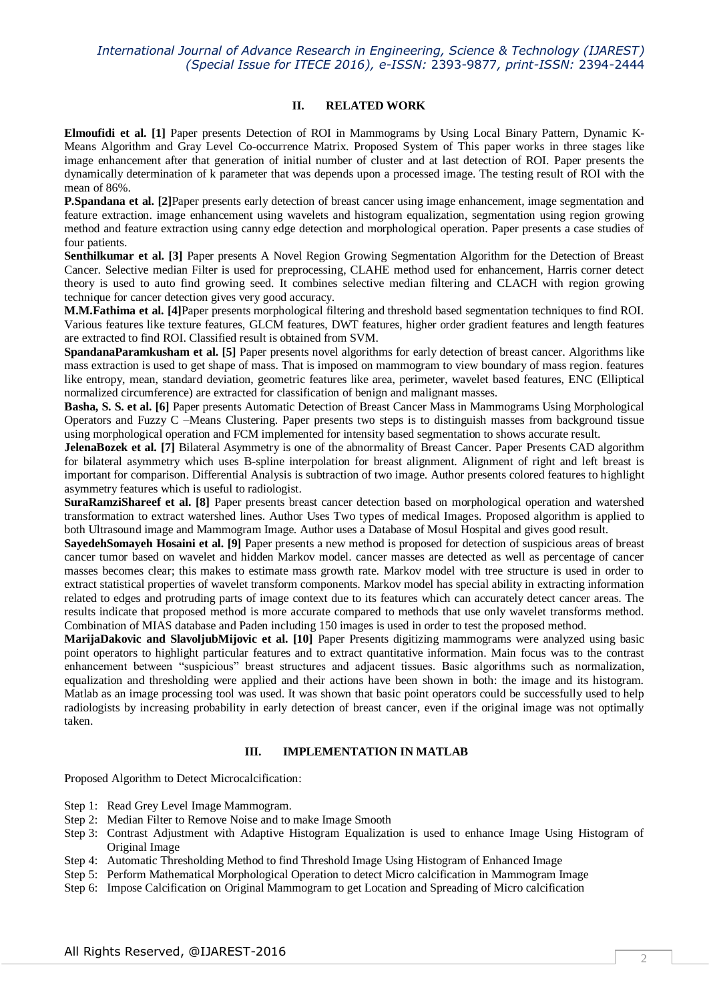## **II. RELATED WORK**

**Elmoufidi et al. [1]** Paper presents Detection of ROI in Mammograms by Using Local Binary Pattern, Dynamic K-Means Algorithm and Gray Level Co-occurrence Matrix. Proposed System of This paper works in three stages like image enhancement after that generation of initial number of cluster and at last detection of ROI. Paper presents the dynamically determination of k parameter that was depends upon a processed image. The testing result of ROI with the mean of 86%.

**P.Spandana et al.** [2] Paper presents early detection of breast cancer using image enhancement, image segmentation and feature extraction. image enhancement using wavelets and histogram equalization, segmentation using region growing method and feature extraction using canny edge detection and morphological operation. Paper presents a case studies of four patients.

**Senthilkumar et al. [3]** Paper presents A Novel Region Growing Segmentation Algorithm for the Detection of Breast Cancer. Selective median Filter is used for preprocessing, CLAHE method used for enhancement, Harris corner detect theory is used to auto find growing seed. It combines selective median filtering and CLACH with region growing technique for cancer detection gives very good accuracy.

**M.M.Fathima et al. [4]**Paper presents morphological filtering and threshold based segmentation techniques to find ROI. Various features like texture features, GLCM features, DWT features, higher order gradient features and length features are extracted to find ROI. Classified result is obtained from SVM.

**SpandanaParamkusham et al. [5]** Paper presents novel algorithms for early detection of breast cancer. Algorithms like mass extraction is used to get shape of mass. That is imposed on mammogram to view boundary of mass region. features like entropy, mean, standard deviation, geometric features like area, perimeter, wavelet based features, ENC (Elliptical normalized circumference) are extracted for classification of benign and malignant masses.

**Basha, S. S. et al. [6]** Paper presents Automatic Detection of Breast Cancer Mass in Mammograms Using Morphological Operators and Fuzzy C –Means Clustering. Paper presents two steps is to distinguish masses from background tissue using morphological operation and FCM implemented for intensity based segmentation to shows accurate result.

**JelenaBozek et al. [7]** Bilateral Asymmetry is one of the abnormality of Breast Cancer. Paper Presents CAD algorithm for bilateral asymmetry which uses B-spline interpolation for breast alignment. Alignment of right and left breast is important for comparison. Differential Analysis is subtraction of two image. Author presents colored features to highlight asymmetry features which is useful to radiologist.

**SuraRamziShareef et al. [8]** Paper presents breast cancer detection based on morphological operation and watershed transformation to extract watershed lines. Author Uses Two types of medical Images. Proposed algorithm is applied to both Ultrasound image and Mammogram Image. Author uses a Database of Mosul Hospital and gives good result.

**SayedehSomayeh Hosaini et al. [9]** Paper presents a new method is proposed for detection of suspicious areas of breast cancer tumor based on wavelet and hidden Markov model. cancer masses are detected as well as percentage of cancer masses becomes clear; this makes to estimate mass growth rate. Markov model with tree structure is used in order to extract statistical properties of wavelet transform components. Markov model has special ability in extracting information related to edges and protruding parts of image context due to its features which can accurately detect cancer areas. The results indicate that proposed method is more accurate compared to methods that use only wavelet transforms method. Combination of MIAS database and Paden including 150 images is used in order to test the proposed method.

**MarijaDakovic and SlavoljubMijovic et al. [10]** Paper Presents digitizing mammograms were analyzed using basic point operators to highlight particular features and to extract quantitative information. Main focus was to the contrast enhancement between "suspicious" breast structures and adjacent tissues. Basic algorithms such as normalization, equalization and thresholding were applied and their actions have been shown in both: the image and its histogram. Matlab as an image processing tool was used. It was shown that basic point operators could be successfully used to help radiologists by increasing probability in early detection of breast cancer, even if the original image was not optimally taken.

# **III. IMPLEMENTATION IN MATLAB**

Proposed Algorithm to Detect Microcalcification:

- Step 1: Read Grey Level Image Mammogram.
- Step 2: Median Filter to Remove Noise and to make Image Smooth
- Step 3: Contrast Adjustment with Adaptive Histogram Equalization is used to enhance Image Using Histogram of Original Image
- Step 4: Automatic Thresholding Method to find Threshold Image Using Histogram of Enhanced Image
- Step 5: Perform Mathematical Morphological Operation to detect Micro calcification in Mammogram Image
- Step 6: Impose Calcification on Original Mammogram to get Location and Spreading of Micro calcification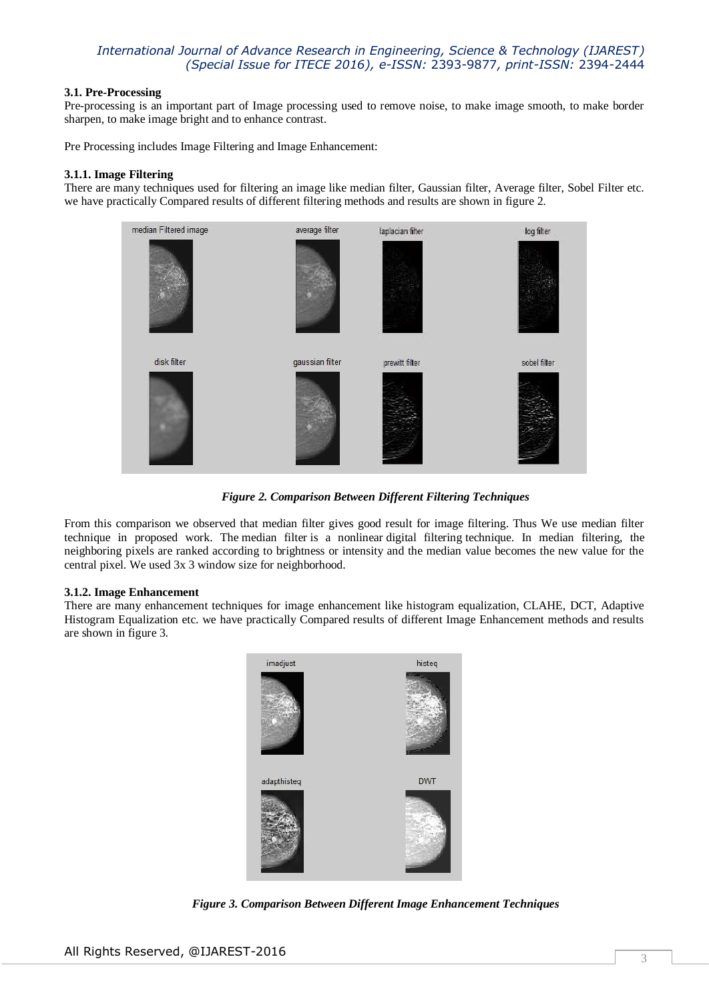# **3.1. Pre-Processing**

Pre-processing is an important part of Image processing used to remove noise, to make image smooth, to make border sharpen, to make image bright and to enhance contrast.

Pre Processing includes Image Filtering and Image Enhancement:

# **3.1.1. Image Filtering**

There are many techniques used for filtering an image like median filter, Gaussian filter, Average filter, Sobel Filter etc. we have practically Compared results of different filtering methods and results are shown in figure 2.



*Figure 2. Comparison Between Different Filtering Techniques*

From this comparison we observed that median filter gives good result for image filtering. Thus We use median filter technique in proposed work. The median filter is a nonlinear digital filtering technique. In median filtering, the neighboring pixels are ranked according to brightness or intensity and the median value becomes the new value for the central pixel. We used 3x 3 window size for neighborhood.

## **3.1.2. Image Enhancement**

There are many enhancement techniques for image enhancement like histogram equalization, CLAHE, DCT, Adaptive Histogram Equalization etc. we have practically Compared results of different Image Enhancement methods and results are shown in figure 3.



*Figure 3. Comparison Between Different Image Enhancement Techniques*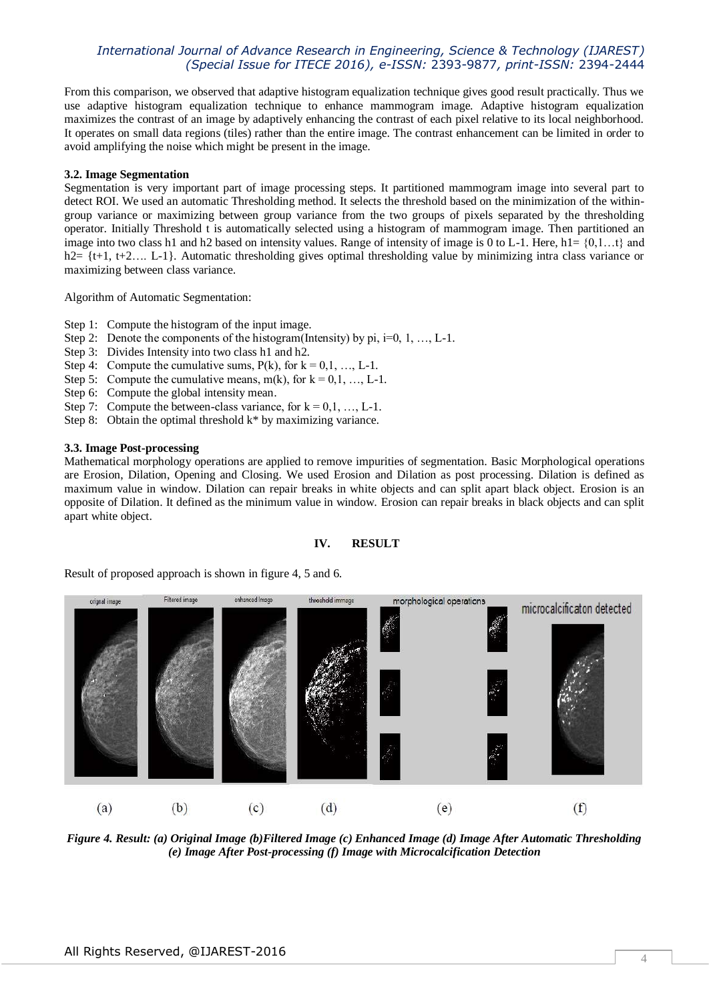From this comparison, we observed that adaptive histogram equalization technique gives good result practically. Thus we use adaptive histogram equalization technique to enhance mammogram image. Adaptive histogram equalization maximizes the contrast of an image by adaptively enhancing the contrast of each pixel relative to its local neighborhood. It operates on small data regions (tiles) rather than the entire image. The contrast enhancement can be limited in order to avoid amplifying the noise which might be present in the image.

## **3.2. Image Segmentation**

Segmentation is very important part of image processing steps. It partitioned mammogram image into several part to detect ROI. We used an automatic Thresholding method. It selects the threshold based on the minimization of the withingroup variance or maximizing between group variance from the two groups of pixels separated by the thresholding operator. Initially Threshold t is automatically selected using a histogram of mammogram image. Then partitioned an image into two class h1 and h2 based on intensity values. Range of intensity of image is 0 to L-1. Here, h1=  $\{0,1...t\}$  and h2= {t+1, t+2..., L-1}. Automatic thresholding gives optimal thresholding value by minimizing intra class variance or maximizing between class variance.

Algorithm of Automatic Segmentation:

- Step 1: Compute the histogram of the input image.
- Step 2: Denote the components of the histogram(Intensity) by pi,  $i=0, 1, ..., L-1$ .
- Step 3: Divides Intensity into two class h1 and h2.
- Step 4: Compute the cumulative sums,  $P(k)$ , for  $k = 0, 1, ..., L-1$ .
- Step 5: Compute the cumulative means,  $m(k)$ , for  $k = 0, 1, ..., L-1$ .
- Step 6: Compute the global intensity mean.
- Step 7: Compute the between-class variance, for  $k = 0, 1, ..., L-1$ .
- Step 8: Obtain the optimal threshold  $k^*$  by maximizing variance.

# **3.3. Image Post-processing**

Mathematical morphology operations are applied to remove impurities of segmentation. Basic Morphological operations are Erosion, Dilation, Opening and Closing. We used Erosion and Dilation as post processing. Dilation is defined as maximum value in window. Dilation can repair breaks in white objects and can split apart black object. Erosion is an opposite of Dilation. It defined as the minimum value in window. Erosion can repair breaks in black objects and can split apart white object.

#### **IV. RESULT**

Result of proposed approach is shown in figure 4, 5 and 6.



*Figure 4. Result: (a) Original Image (b)Filtered Image (c) Enhanced Image (d) Image After Automatic Thresholding (e) Image After Post-processing (f) Image with Microcalcification Detection*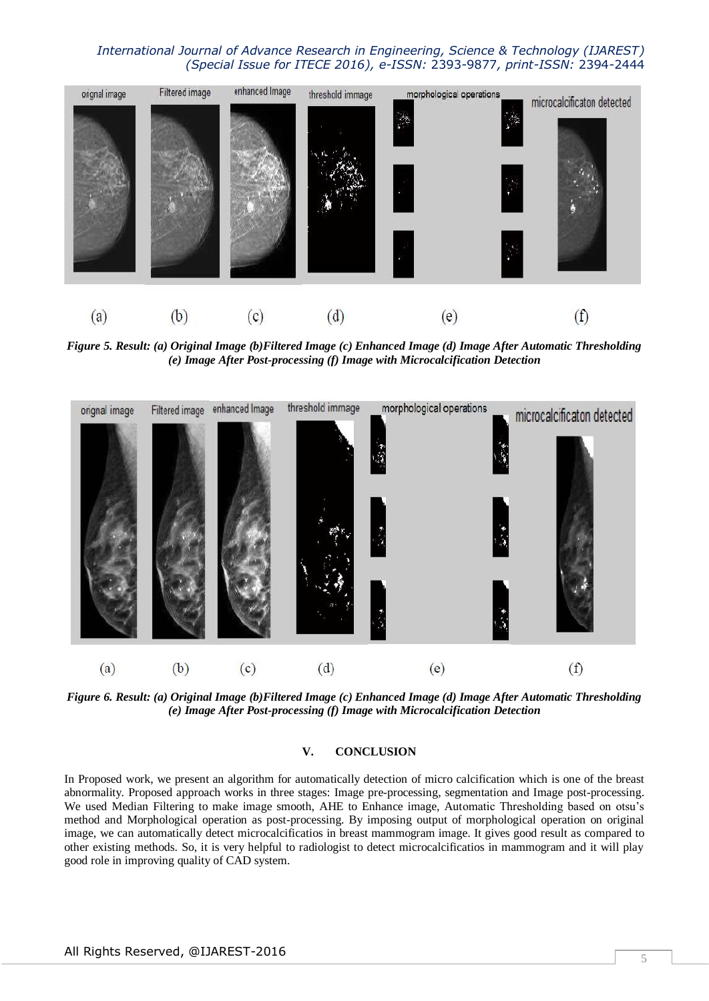

*Figure 5. Result: (a) Original Image (b)Filtered Image (c) Enhanced Image (d) Image After Automatic Thresholding (e) Image After Post-processing (f) Image with Microcalcification Detection*



*Figure 6. Result: (a) Original Image (b)Filtered Image (c) Enhanced Image (d) Image After Automatic Thresholding (e) Image After Post-processing (f) Image with Microcalcification Detection*

# **V. CONCLUSION**

In Proposed work, we present an algorithm for automatically detection of micro calcification which is one of the breast abnormality. Proposed approach works in three stages: Image pre-processing, segmentation and Image post-processing. We used Median Filtering to make image smooth, AHE to Enhance image, Automatic Thresholding based on otsu's method and Morphological operation as post-processing. By imposing output of morphological operation on original image, we can automatically detect microcalcificatios in breast mammogram image. It gives good result as compared to other existing methods. So, it is very helpful to radiologist to detect microcalcificatios in mammogram and it will play good role in improving quality of CAD system.